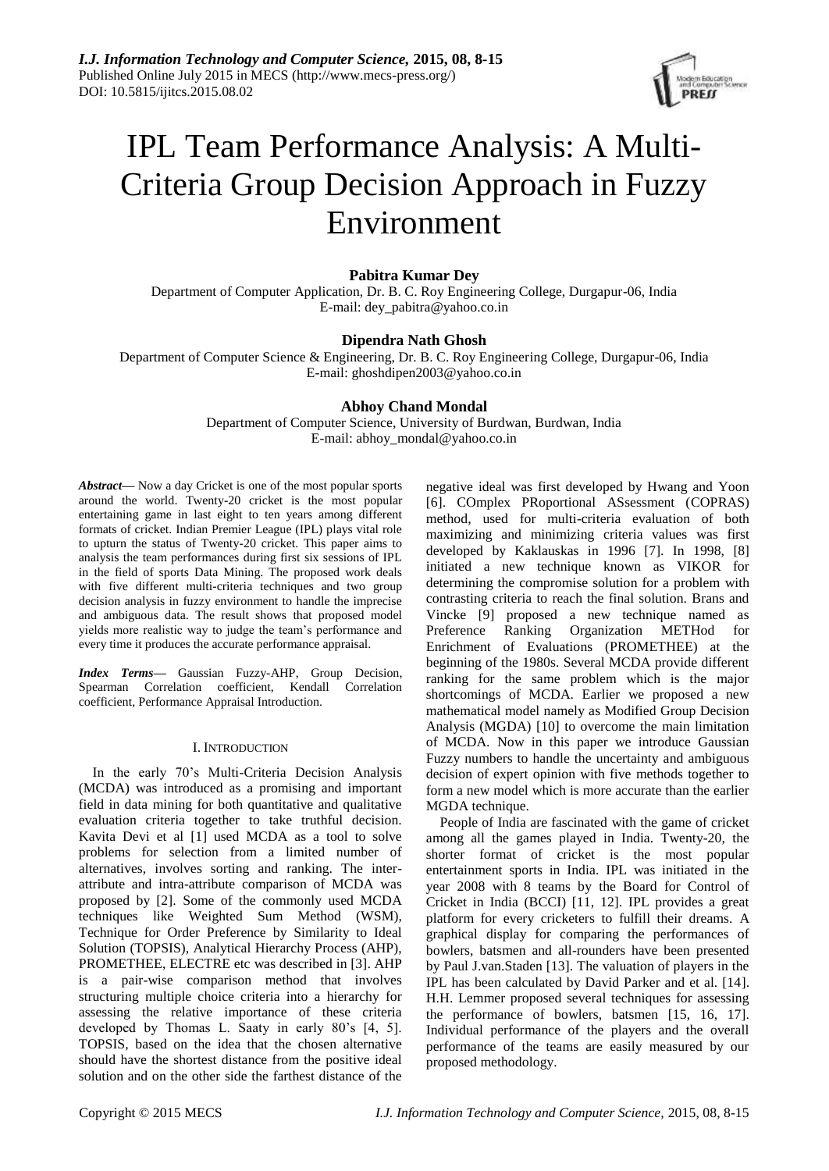

# IPL Team Performance Analysis: A Multi-Criteria Group Decision Approach in Fuzzy Environment

# **Pabitra Kumar Dey**

Department of Computer Application, Dr. B. C. Roy Engineering College, Durgapur-06, India E-mail: dey\_pabitra@yahoo.co.in

## **Dipendra Nath Ghosh**

Department of Computer Science & Engineering, Dr. B. C. Roy Engineering College, Durgapur-06, India E-mail: ghoshdipen2003@yahoo.co.in

## **Abhoy Chand Mondal**

Department of Computer Science, University of Burdwan, Burdwan, India E-mail: abhoy\_mondal@yahoo.co.in

*Abstract***—** Now a day Cricket is one of the most popular sports around the world. Twenty-20 cricket is the most popular entertaining game in last eight to ten years among different formats of cricket. Indian Premier League (IPL) plays vital role to upturn the status of Twenty-20 cricket. This paper aims to analysis the team performances during first six sessions of IPL in the field of sports Data Mining. The proposed work deals with five different multi-criteria techniques and two group decision analysis in fuzzy environment to handle the imprecise and ambiguous data. The result shows that proposed model yields more realistic way to judge the team's performance and every time it produces the accurate performance appraisal.

*Index Terms***—** Gaussian Fuzzy-AHP, Group Decision, Spearman Correlation coefficient, Kendall Correlation coefficient, Performance Appraisal Introduction.

## I. INTRODUCTION

In the early 70's Multi-Criteria Decision Analysis (MCDA) was introduced as a promising and important field in data mining for both quantitative and qualitative evaluation criteria together to take truthful decision. Kavita Devi et al [1] used MCDA as a tool to solve problems for selection from a limited number of alternatives, involves sorting and ranking. The interattribute and intra-attribute comparison of MCDA was proposed by [2]. Some of the commonly used MCDA techniques like Weighted Sum Method (WSM), Technique for Order Preference by Similarity to Ideal Solution (TOPSIS), Analytical Hierarchy Process (AHP), PROMETHEE, ELECTRE etc was described in [3]. AHP is a pair-wise comparison method that involves structuring multiple choice criteria into a hierarchy for assessing the relative importance of these criteria developed by Thomas L. Saaty in early 80's [4, 5]. TOPSIS, based on the idea that the chosen alternative should have the shortest distance from the positive ideal solution and on the other side the farthest distance of the

negative ideal was first developed by Hwang and Yoon [6]. COmplex PRoportional ASsessment (COPRAS) method, used for multi-criteria evaluation of both maximizing and minimizing criteria values was first developed by Kaklauskas in 1996 [7]. In 1998, [8] initiated a new technique known as VIKOR for determining the compromise solution for a problem with contrasting criteria to reach the final solution. Brans and Vincke [9] proposed a new technique named as Preference Ranking Organization METHod for Enrichment of Evaluations (PROMETHEE) at the beginning of the 1980s. Several MCDA provide different ranking for the same problem which is the major shortcomings of MCDA. Earlier we proposed a new mathematical model namely as Modified Group Decision Analysis (MGDA) [10] to overcome the main limitation of MCDA. Now in this paper we introduce Gaussian Fuzzy numbers to handle the uncertainty and ambiguous decision of expert opinion with five methods together to form a new model which is more accurate than the earlier MGDA technique.

People of India are fascinated with the game of cricket among all the games played in India. Twenty-20, the shorter format of cricket is the most popular entertainment sports in India. IPL was initiated in the year 2008 with 8 teams by the Board for Control of Cricket in India (BCCI) [11, 12]. IPL provides a great platform for every cricketers to fulfill their dreams. A graphical display for comparing the performances of bowlers, batsmen and all-rounders have been presented by Paul J.van.Staden [13]. The valuation of players in the IPL has been calculated by David Parker and et al. [14]. H.H. Lemmer proposed several techniques for assessing the performance of bowlers, batsmen [15, 16, 17]. Individual performance of the players and the overall performance of the teams are easily measured by our proposed methodology.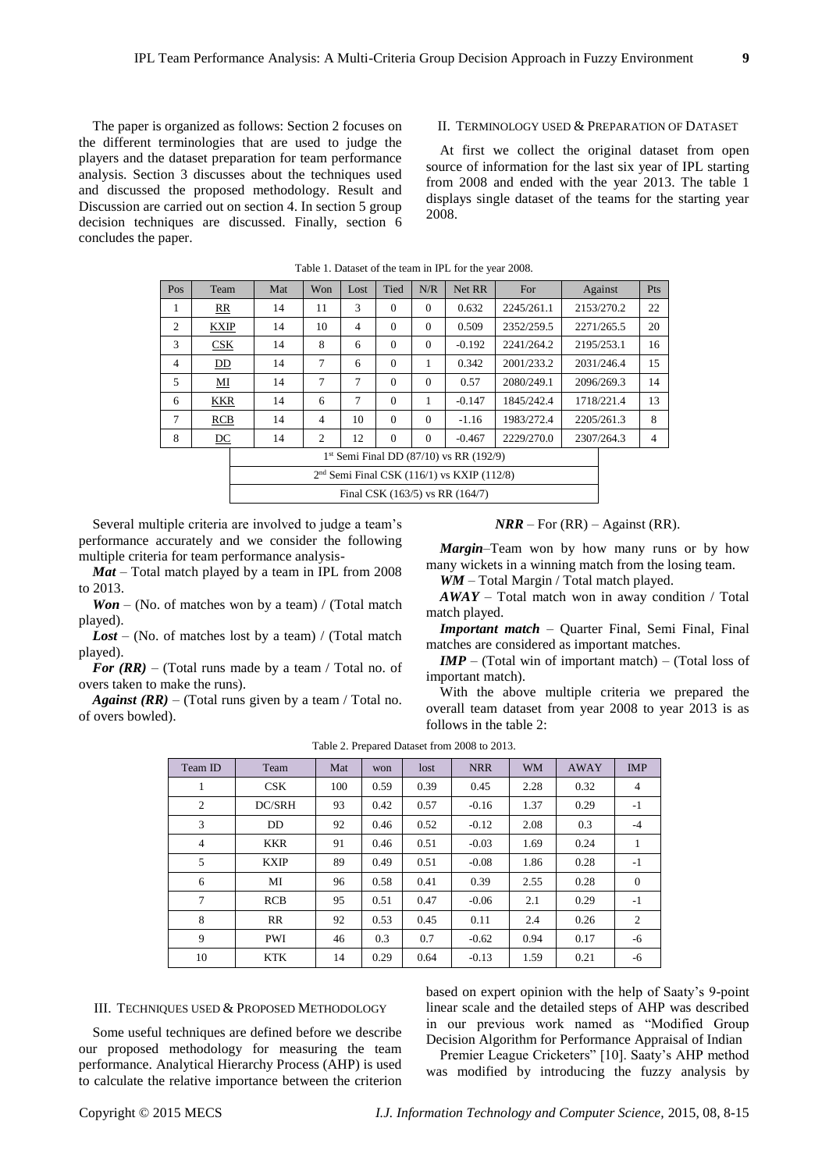The paper is organized as follows: Section 2 focuses on the different terminologies that are used to judge the players and the dataset preparation for team performance analysis. Section 3 discusses about the techniques used and discussed the proposed methodology. Result and Discussion are carried out on section 4. In section 5 group decision techniques are discussed. Finally, section 6 concludes the paper.

#### II. TERMINOLOGY USED & PREPARATION OF DATASET

At first we collect the original dataset from open source of information for the last six year of IPL starting from 2008 and ended with the year 2013. The table 1 displays single dataset of the teams for the starting year 2008.

| Pos            | Team        | Mat | Won            | Lost           | Tied     | N/R      | Net RR                                       | For        | Against    | Pts            |
|----------------|-------------|-----|----------------|----------------|----------|----------|----------------------------------------------|------------|------------|----------------|
| 1              | RR          | 14  | 11             | 3              | $\Omega$ | $\Omega$ | 0.632                                        | 2245/261.1 | 2153/270.2 | 22             |
| $\overline{2}$ | <b>KXIP</b> | 14  | 10             | $\overline{4}$ | $\Omega$ | $\Omega$ | 0.509                                        | 2352/259.5 | 2271/265.5 | 20             |
| 3              | CSK         | 14  | 8              | 6              | $\Omega$ | $\Omega$ | $-0.192$                                     | 2241/264.2 | 2195/253.1 | 16             |
| $\overline{4}$ | DD          | 14  | 7              | 6              | $\Omega$ | 1        | 0.342                                        | 2001/233.2 | 2031/246.4 | 15             |
| 5              | MI          | 14  | 7              | $\tau$         | $\Omega$ | $\Omega$ | 0.57                                         | 2080/249.1 | 2096/269.3 | 14             |
| 6              | <b>KKR</b>  | 14  | 6              | 7              | $\Omega$ | 1        | $-0.147$                                     | 1845/242.4 | 1718/221.4 | 13             |
| 7              | <b>RCB</b>  | 14  | $\overline{4}$ | 10             | $\Omega$ | $\Omega$ | $-1.16$                                      | 1983/272.4 | 2205/261.3 | 8              |
| 8              | DC          | 14  | 2              | 12             | $\Omega$ | $\Omega$ | $-0.467$                                     | 2229/270.0 | 2307/264.3 | $\overline{4}$ |
|                |             |     |                |                |          |          | $1st$ Semi Final DD (87/10) vs RR (192/9)    |            |            |                |
|                |             |     |                |                |          |          | $2nd$ Semi Final CSK (116/1) vs KXIP (112/8) |            |            |                |

Final CSK (163/5) vs RR (164/7)

#### Table 1. Dataset of the team in IPL for the year 2008.

Several multiple criteria are involved to judge a team's performance accurately and we consider the following multiple criteria for team performance analysis-

*Mat* – Total match played by a team in IPL from 2008 to 2013.

*Won* – (No. of matches won by a team) / (Total match played).

Lost – (No. of matches lost by a team) / (Total match played).

*For (RR)* – (Total runs made by a team / Total no. of overs taken to make the runs).

*Against (RR)* – (Total runs given by a team / Total no. of overs bowled).

 $NRR$  – For  $(RR)$  – Against  $(RR)$ .

*Margin*–Team won by how many runs or by how many wickets in a winning match from the losing team.

*WM* – Total Margin / Total match played.

 $A$ *WAY* – Total match won in away condition / Total match played.

*Important match* – Quarter Final, Semi Final, Final matches are considered as important matches.

*IMP* – (Total win of important match) – (Total loss of important match).

With the above multiple criteria we prepared the overall team dataset from year 2008 to year 2013 is as follows in the table 2:

| Team ID        | Team        | Mat | won  | lost | <b>NRR</b> | <b>WM</b> | <b>AWAY</b> | <b>IMP</b>     |
|----------------|-------------|-----|------|------|------------|-----------|-------------|----------------|
| 1              | CSK         | 100 | 0.59 | 0.39 | 0.45       | 2.28      | 0.32        | $\overline{4}$ |
| $\overline{2}$ | DC/SRH      | 93  | 0.42 | 0.57 | $-0.16$    | 1.37      | 0.29        | $-1$           |
| 3              | <b>DD</b>   | 92  | 0.46 | 0.52 | $-0.12$    | 2.08      | 0.3         | $-4$           |
| $\overline{4}$ | <b>KKR</b>  | 91  | 0.46 | 0.51 | $-0.03$    | 1.69      | 0.24        | 1              |
| 5              | <b>KXIP</b> | 89  | 0.49 | 0.51 | $-0.08$    | 1.86      | 0.28        | $-1$           |
| 6              | MI          | 96  | 0.58 | 0.41 | 0.39       | 2.55      | 0.28        | $\mathbf{0}$   |
| 7              | <b>RCB</b>  | 95  | 0.51 | 0.47 | $-0.06$    | 2.1       | 0.29        | $-1$           |
| 8              | RR          | 92  | 0.53 | 0.45 | 0.11       | 2.4       | 0.26        | 2              |
| 9              | <b>PWI</b>  | 46  | 0.3  | 0.7  | $-0.62$    | 0.94      | 0.17        | -6             |
| 10             | <b>KTK</b>  | 14  | 0.29 | 0.64 | $-0.13$    | 1.59      | 0.21        | -6             |

Table 2. Prepared Dataset from 2008 to 2013.

III. TECHNIQUES USED & PROPOSED METHODOLOGY

Some useful techniques are defined before we describe our proposed methodology for measuring the team performance. Analytical Hierarchy Process (AHP) is used to calculate the relative importance between the criterion based on expert opinion with the help of Saaty's 9-point linear scale and the detailed steps of AHP was described in our previous work named as "Modified Group Decision Algorithm for Performance Appraisal of Indian

Premier League Cricketers" [10]. Saaty's AHP method was modified by introducing the fuzzy analysis by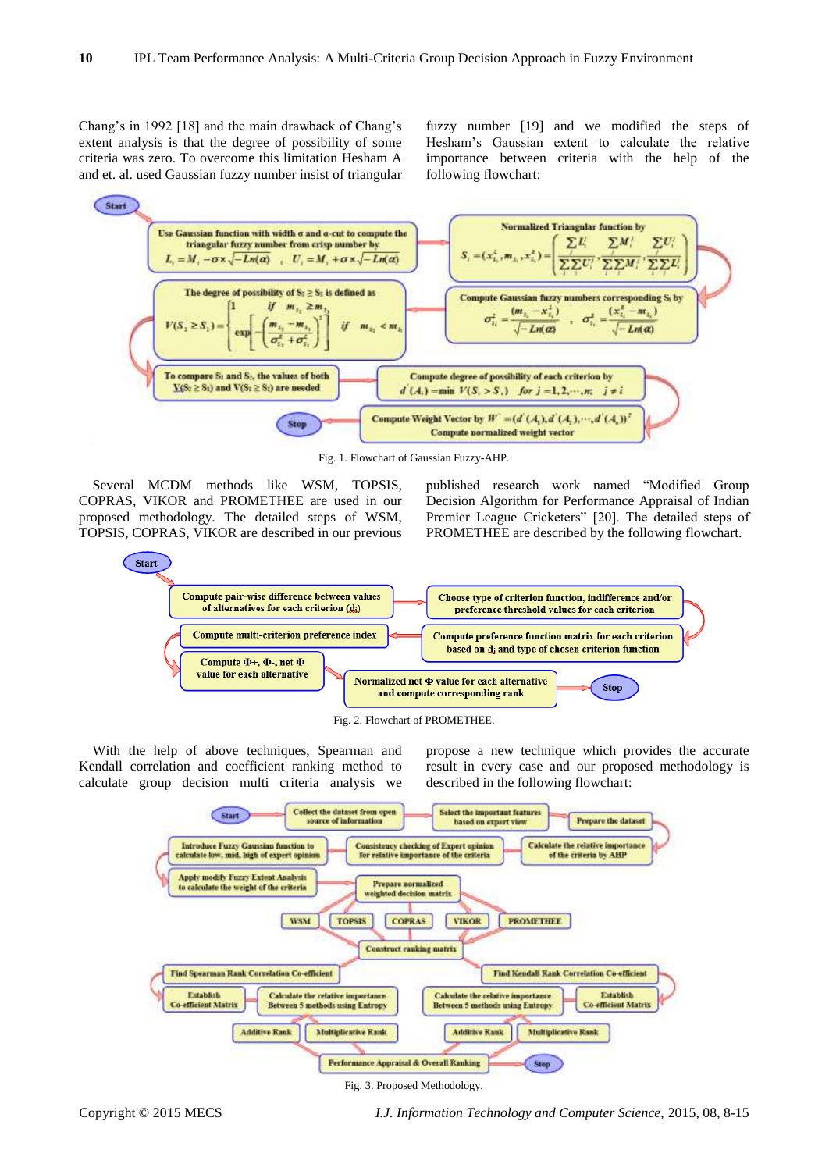Chang's in 1992 [18] and the main drawback of Chang's extent analysis is that the degree of possibility of some criteria was zero. To overcome this limitation Hesham A and et. al. used Gaussian fuzzy number insist of triangular fuzzy number [19] and we modified the steps of Hesham's Gaussian extent to calculate the relative importance between criteria with the help of the following flowchart:



Fig. 1. Flowchart of Gaussian Fuzzy-AHP.

Several MCDM methods like WSM, TOPSIS, COPRAS, VIKOR and PROMETHEE are used in our proposed methodology. The detailed steps of WSM, TOPSIS, COPRAS, VIKOR are described in our previous published research work named "Modified Group Decision Algorithm for Performance Appraisal of Indian Premier League Cricketers" [20]. The detailed steps of PROMETHEE are described by the following flowchart.





With the help of above techniques, Spearman and Kendall correlation and coefficient ranking method to calculate group decision multi criteria analysis we propose a new technique which provides the accurate result in every case and our proposed methodology is described in the following flowchart:



Fig. 3. Proposed Methodology.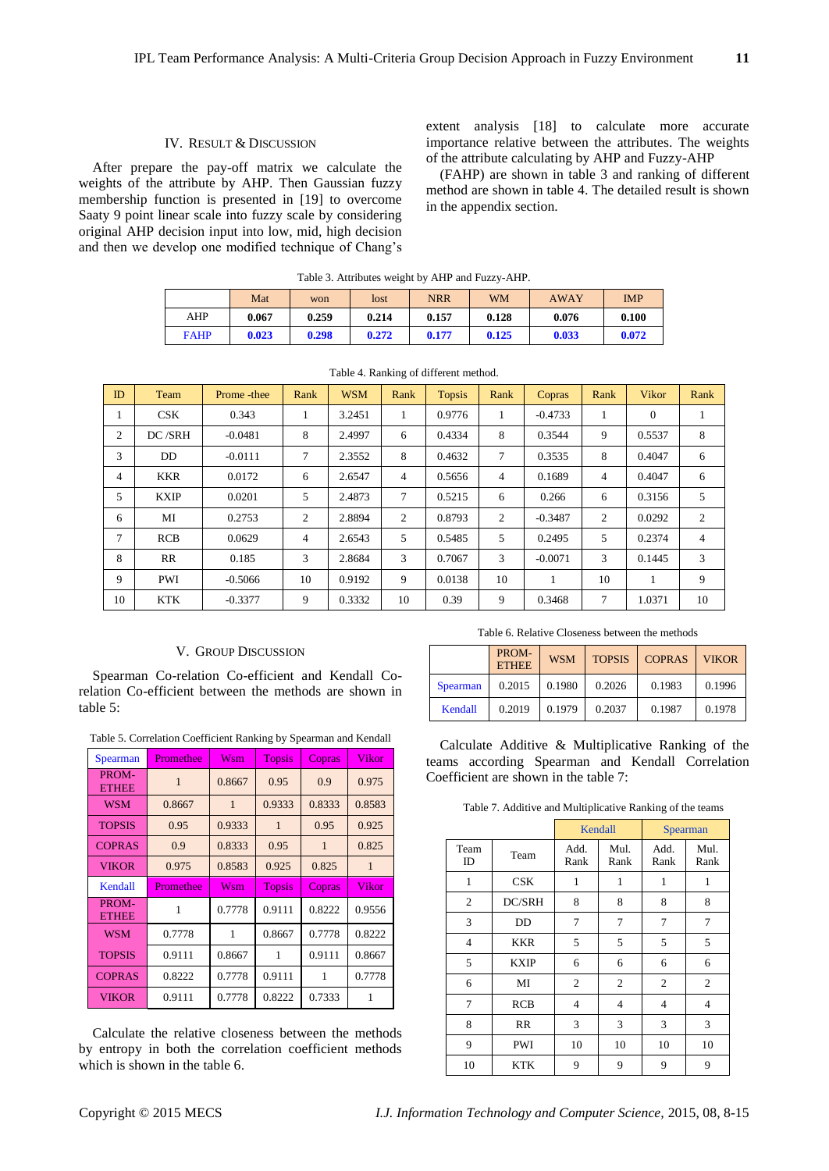#### IV. RESULT & DISCUSSION

After prepare the pay-off matrix we calculate the weights of the attribute by AHP. Then Gaussian fuzzy membership function is presented in [19] to overcome Saaty 9 point linear scale into fuzzy scale by considering original AHP decision input into low, mid, high decision and then we develop one modified technique of Chang's extent analysis [18] to calculate more accurate importance relative between the attributes. The weights of the attribute calculating by AHP and Fuzzy-AHP

(FAHP) are shown in table 3 and ranking of different method are shown in table 4. The detailed result is shown in the appendix section.

|             | Table 3. Attributes weight by AHP and Fuzzy-AHP. |       |       |            |           |             |            |  |  |  |  |  |  |
|-------------|--------------------------------------------------|-------|-------|------------|-----------|-------------|------------|--|--|--|--|--|--|
|             | Mat                                              | won   | lost  | <b>NRR</b> | <b>WM</b> | <b>AWAY</b> | <b>IMP</b> |  |  |  |  |  |  |
| AHP         | 0.067                                            | 0.259 | 0.214 | 0.157      | 0.128     | 0.076       | 0.100      |  |  |  |  |  |  |
| <b>FAHP</b> | 0.023                                            | 0.298 | 0.272 | 0.177      | 0.125     | 0.033       | 0.072      |  |  |  |  |  |  |

| ID             | Team        | Prome - thee | Rank           | <b>WSM</b> | $\epsilon$<br>Rank | <b>Topsis</b> | Rank           | Copras    | Rank            | <b>Vikor</b> | Rank           |
|----------------|-------------|--------------|----------------|------------|--------------------|---------------|----------------|-----------|-----------------|--------------|----------------|
|                | CSK         | 0.343        | 1              | 3.2451     | $\mathbf{1}$       | 0.9776        | 1              | $-0.4733$ | 1               | $\theta$     | $\mathbf{1}$   |
| 2              | DC/SRH      | $-0.0481$    | 8              | 2.4997     | 6                  | 0.4334        | 8              | 0.3544    | 9               | 0.5537       | 8              |
| 3              | DD.         | $-0.0111$    | $\tau$         | 2.3552     | 8                  | 0.4632        | 7              | 0.3535    | 8               | 0.4047       | 6              |
| $\overline{4}$ | <b>KKR</b>  | 0.0172       | 6              | 2.6547     | $\overline{4}$     | 0.5656        | $\overline{4}$ | 0.1689    | $\overline{4}$  | 0.4047       | 6              |
| 5              | <b>KXIP</b> | 0.0201       | 5              | 2.4873     | $\tau$             | 0.5215        | 6              | 0.266     | 6               | 0.3156       | 5              |
| 6              | MI          | 0.2753       | $\overline{2}$ | 2.8894     | 2                  | 0.8793        | 2              | $-0.3487$ | 2               | 0.0292       | $\overline{2}$ |
| 7              | RCB         | 0.0629       | $\overline{4}$ | 2.6543     | 5                  | 0.5485        | 5              | 0.2495    | 5               | 0.2374       | $\overline{4}$ |
| 8              | RR          | 0.185        | 3              | 2.8684     | 3                  | 0.7067        | 3              | $-0.0071$ | 3               | 0.1445       | 3              |
| 9              | <b>PWI</b>  | $-0.5066$    | 10             | 0.9192     | 9                  | 0.0138        | 10             | 1         | 10              | 1            | 9              |
| 10             | <b>KTK</b>  | $-0.3377$    | 9              | 0.3332     | 10                 | 0.39          | 9              | 0.3468    | $7\overline{ }$ | 1.0371       | 10             |

Table 4. Ranking of different method.

#### V. GROUP DISCUSSION

Spearman Co-relation Co-efficient and Kendall Corelation Co-efficient between the methods are shown in table 5:

Table 5. Correlation Coefficient Ranking by Spearman and Kendall

| Spearman              | Promethee | Wsm                     | <b>Topsis</b> | Copras       | Vikor  |
|-----------------------|-----------|-------------------------|---------------|--------------|--------|
| PROM-<br><b>ETHEE</b> | 1         | 0.8667                  | 0.95          | 0.9          | 0.975  |
| <b>WSM</b>            | 0.8667    | $\mathbf{1}$            | 0.9333        | 0.8333       | 0.8583 |
| <b>TOPSIS</b>         | 0.95      | 0.9333                  | 1             | 0.95         | 0.925  |
| <b>COPRAS</b>         | 0.9       | 0.8333                  | 0.95          | $\mathbf{1}$ | 0.825  |
| <b>VIKOR</b>          | 0.975     | 0.8583                  | 0.925         | 0.825        | 1      |
|                       |           |                         |               |              |        |
| Kendall               | Promethee | $\overline{\text{Wsm}}$ | <b>Topsis</b> | Copras       | Vikor  |
| PROM-<br><b>ETHEE</b> | 1         | 0.7778                  | 0.9111        | 0.8222       | 0.9556 |
| <b>WSM</b>            | 0.7778    | 1                       | 0.8667        | 0.7778       | 0.8222 |
| <b>TOPSIS</b>         | 0.9111    | 0.8667                  | 1             | 0.9111       | 0.8667 |
| <b>COPRAS</b>         | 0.8222    | 0.7778                  | 0.9111        | 1            | 0.7778 |

Calculate the relative closeness between the methods by entropy in both the correlation coefficient methods which is shown in the table 6.

#### Table 6. Relative Closeness between the methods

|                 | PROM-<br><b>ETHEE</b> | <b>WSM</b> | <b>TOPSIS</b> | <b>COPRAS</b> | <b>VIKOR</b> |
|-----------------|-----------------------|------------|---------------|---------------|--------------|
| <b>Spearman</b> | 0.2015                | 0.1980     | 0.2026        | 0.1983        | 0.1996       |
| Kendall         | 0.2019                | 0.1979     | 0.2037        | 0.1987        | 0.1978       |

Calculate Additive & Multiplicative Ranking of the teams according Spearman and Kendall Correlation Coefficient are shown in the table 7:

Table 7. Additive and Multiplicative Ranking of the teams

|                |             |                | Kendall        | Spearman       |                |
|----------------|-------------|----------------|----------------|----------------|----------------|
| Team<br>ID     | Team        | Add.<br>Rank   | Mul.<br>Rank   | Add.<br>Rank   | Mul.<br>Rank   |
| 1              | CSK         | 1              | 1              | 1              | 1              |
| 2              | DC/SRH      | 8              | 8              | 8              | 8              |
| 3              | DD          | 7              | 7              | 7              | 7              |
| $\overline{4}$ | <b>KKR</b>  | 5              | 5              | 5              | 5              |
| 5              | <b>KXIP</b> | 6              | 6              | 6              | 6              |
| 6              | MI          | $\overline{2}$ | $\overline{2}$ | $\overline{2}$ | $\overline{2}$ |
| 7              | <b>RCB</b>  | 4              | 4              | 4              | $\overline{4}$ |
| 8              | <b>RR</b>   | 3              | 3              | 3              | 3              |
| 9              | PWI         | 10             | 10             | 10             | 10             |
| 10             | KTK         | 9              | 9              | 9              | 9              |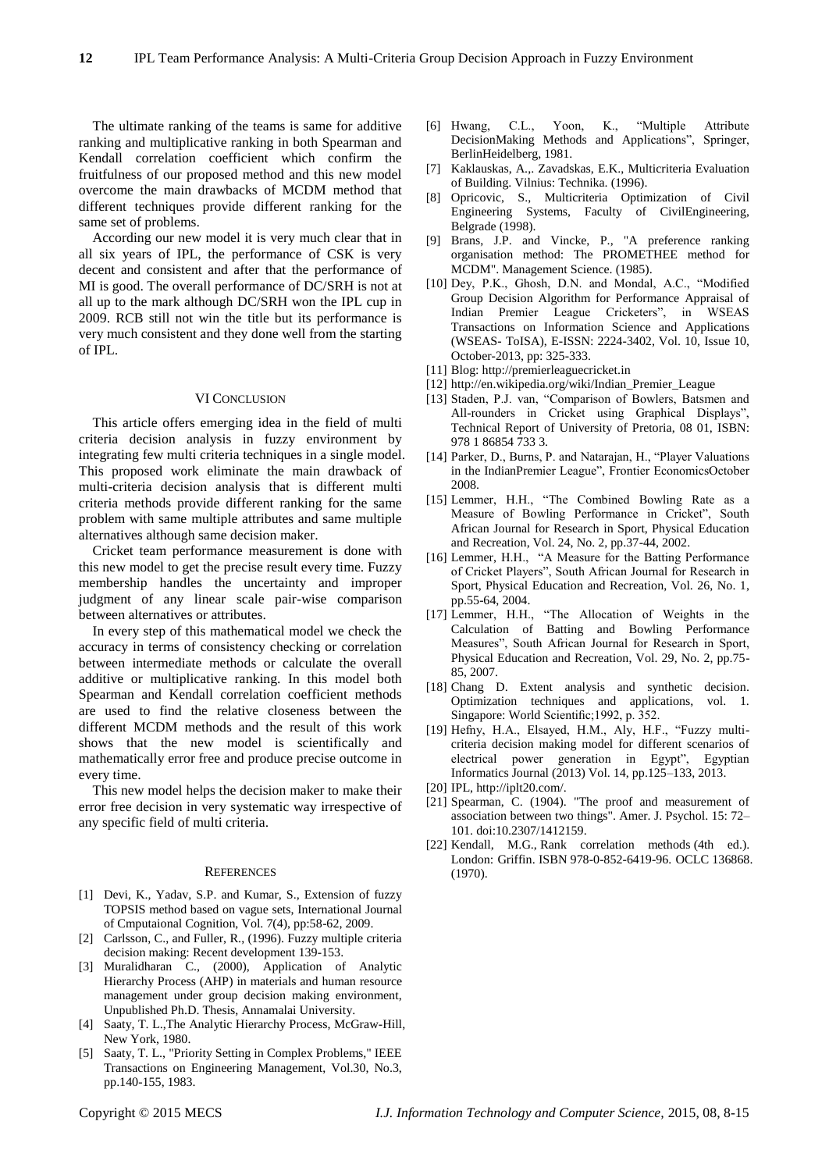The ultimate ranking of the teams is same for additive ranking and multiplicative ranking in both Spearman and Kendall correlation coefficient which confirm the fruitfulness of our proposed method and this new model overcome the main drawbacks of MCDM method that different techniques provide different ranking for the same set of problems.

According our new model it is very much clear that in all six years of IPL, the performance of CSK is very decent and consistent and after that the performance of MI is good. The overall performance of DC/SRH is not at all up to the mark although DC/SRH won the IPL cup in 2009. RCB still not win the title but its performance is very much consistent and they done well from the starting of IPL.

#### VI CONCLUSION

This article offers emerging idea in the field of multi criteria decision analysis in fuzzy environment by integrating few multi criteria techniques in a single model. This proposed work eliminate the main drawback of multi-criteria decision analysis that is different multi criteria methods provide different ranking for the same problem with same multiple attributes and same multiple alternatives although same decision maker.

Cricket team performance measurement is done with this new model to get the precise result every time. Fuzzy membership handles the uncertainty and improper judgment of any linear scale pair-wise comparison between alternatives or attributes.

In every step of this mathematical model we check the accuracy in terms of consistency checking or correlation between intermediate methods or calculate the overall additive or multiplicative ranking. In this model both Spearman and Kendall correlation coefficient methods are used to find the relative closeness between the different MCDM methods and the result of this work shows that the new model is scientifically and mathematically error free and produce precise outcome in every time.

This new model helps the decision maker to make their error free decision in very systematic way irrespective of any specific field of multi criteria.

#### **REFERENCES**

- [1] Devi, K., Yadav, S.P. and Kumar, S., Extension of fuzzy TOPSIS method based on vague sets, International Journal of Cmputaional Cognition, Vol. 7(4), pp:58-62, 2009.
- [2] Carlsson, C., and Fuller, R., (1996). Fuzzy multiple criteria decision making: Recent development 139-153.
- [3] Muralidharan C., (2000), Application of Analytic Hierarchy Process (AHP) in materials and human resource management under group decision making environment, Unpublished Ph.D. Thesis, Annamalai University.
- [4] Saaty, T. L.,The Analytic Hierarchy Process, McGraw-Hill, New York, 1980.
- [5] Saaty, T. L., "Priority Setting in Complex Problems," IEEE Transactions on Engineering Management, Vol.30, No.3, pp.140-155, 1983.
- [6] Hwang, C.L., Yoon, K., "Multiple Attribute DecisionMaking Methods and Applications", Springer, BerlinHeidelberg, 1981.
- [7] Kaklauskas, A.,. Zavadskas, E.K., Multicriteria Evaluation of Building. Vilnius: Technika. (1996).
- [8] Opricovic, S., Multicriteria Optimization of Civil Engineering Systems, Faculty of CivilEngineering, Belgrade (1998).
- [9] Brans, J.P. and Vincke, P., "A preference ranking organisation method: The PROMETHEE method for MCDM". Management Science. (1985).
- [10] Dey, P.K., Ghosh, D.N. and Mondal, A.C., "Modified Group Decision Algorithm for Performance Appraisal of Indian Premier League Cricketers", in WSEAS Transactions on Information Science and Applications (WSEAS- ToISA), E-ISSN: 2224-3402, Vol. 10, Issue 10, October-2013, pp: 325-333.
- [11] Blog: http://premierleaguecricket.in
- [12] http://en.wikipedia.org/wiki/Indian\_Premier\_League
- [13] Staden, P.J. van, "Comparison of Bowlers, Batsmen and All-rounders in Cricket using Graphical Displays", Technical Report of University of Pretoria, 08 01, ISBN: 978 1 86854 733 3.
- [14] Parker, D., Burns, P. and Natarajan, H., "Player Valuations in the IndianPremier League", Frontier EconomicsOctober 2008.
- [15] Lemmer, H.H., "The Combined Bowling Rate as a Measure of Bowling Performance in Cricket", South African Journal for Research in Sport, Physical Education and Recreation, Vol. 24, No. 2, pp.37-44, 2002.
- [16] Lemmer, H.H., "A Measure for the Batting Performance of Cricket Players", South African Journal for Research in Sport, Physical Education and Recreation, Vol. 26, No. 1, pp.55-64, 2004.
- [17] Lemmer, H.H., "The Allocation of Weights in the Calculation of Batting and Bowling Performance Measures", South African Journal for Research in Sport, Physical Education and Recreation, Vol. 29, No. 2, pp.75- 85, 2007.
- [18] Chang D. Extent analysis and synthetic decision. Optimization techniques and applications, vol. 1. Singapore: World Scientific;1992, p. 352.
- [19] Hefny, H.A., Elsayed, H.M., Aly, H.F., "Fuzzy multicriteria decision making model for different scenarios of electrical power generation in Egypt", Egyptian Informatics Journal (2013) Vol. 14, pp.125–133, 2013.
- [20] IPL[, http://iplt20.com/.](http://iplt20.com/)
- [21] Spearman, C. (1904). "The proof and measurement of association between two things". Amer. J. Psychol. 15: 72– 101. [doi:](http://en.wikipedia.org/wiki/Digital_object_identifier)10.2307/1412159.
- [22] Kendall, M.G., Rank correlation methods (4th ed.). London: Griffin. [ISBN](http://en.wikipedia.org/wiki/International_Standard_Book_Number) 978-0-852-6419-96. OCLC 136868. (1970).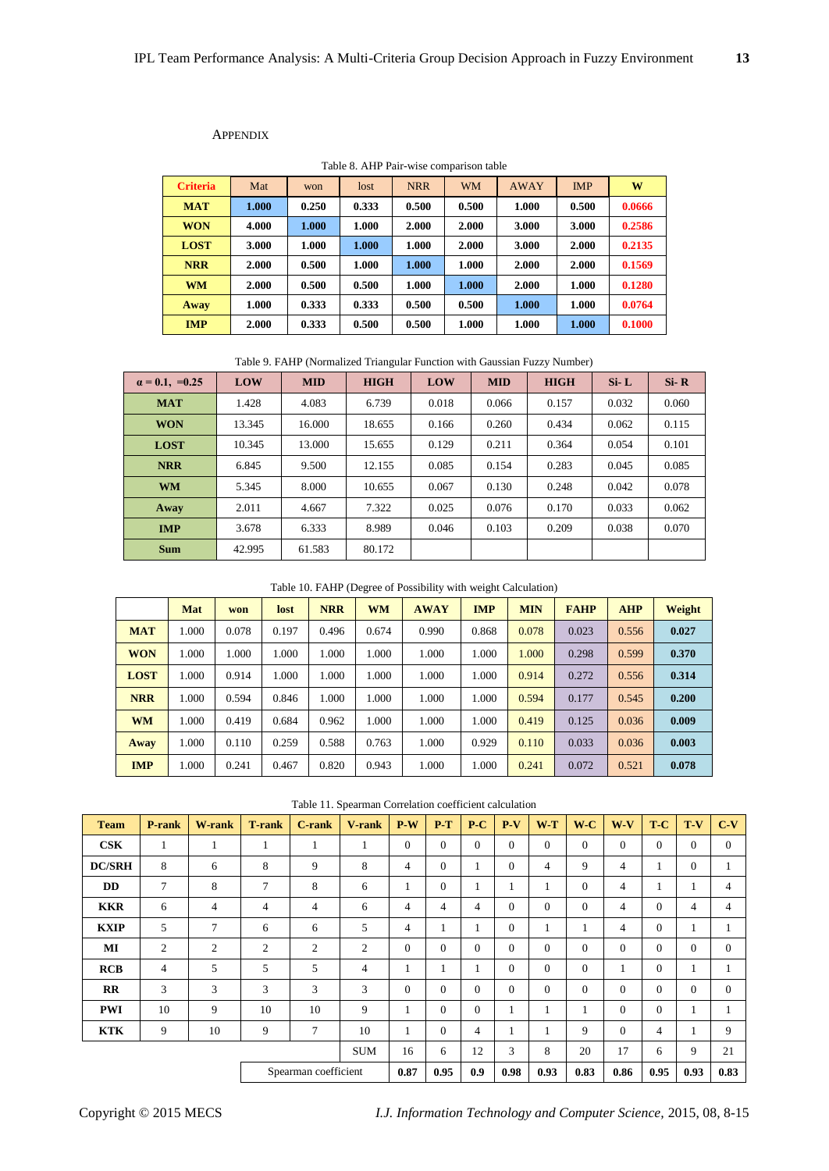## APPENDIX

| <b>Criteria</b> | Mat   | won   | lost  | <b>NRR</b> | WM    | <b>AWAY</b> | <b>IMP</b> | W      |
|-----------------|-------|-------|-------|------------|-------|-------------|------------|--------|
| <b>MAT</b>      | 1.000 | 0.250 | 0.333 | 0.500      | 0.500 | 1.000       | 0.500      | 0.0666 |
| <b>WON</b>      | 4.000 | 1.000 | 1.000 | 2.000      | 2.000 | 3.000       | 3.000      | 0.2586 |
| <b>LOST</b>     | 3.000 | 1.000 | 1.000 | 1.000      | 2.000 | 3.000       | 2.000      | 0.2135 |
| <b>NRR</b>      | 2.000 | 0.500 | 1.000 | 1.000      | 1.000 | 2.000       | 2.000      | 0.1569 |
| <b>WM</b>       | 2.000 | 0.500 | 0.500 | 1.000      | 1.000 | 2.000       | 1.000      | 0.1280 |
| Away            | 1.000 | 0.333 | 0.333 | 0.500      | 0.500 | 1.000       | 1.000      | 0.0764 |
| <b>IMP</b>      | 2.000 | 0.333 | 0.500 | 0.500      | 1.000 | 1.000       | 1.000      | 0.1000 |

Table 8. AHP Pair-wise comparison table

Table 9. FAHP (Normalized Triangular Function with Gaussian Fuzzy Number)

| $\alpha = 0.1, =0.25$ | LOW    | <b>MID</b> | <b>HIGH</b> | LOW   | <b>MID</b> | <b>HIGH</b> | $Si-L$ | $Si-R$ |
|-----------------------|--------|------------|-------------|-------|------------|-------------|--------|--------|
| <b>MAT</b>            | 1.428  | 4.083      | 6.739       | 0.018 | 0.066      | 0.157       | 0.032  | 0.060  |
| <b>WON</b>            | 13.345 | 16.000     | 18.655      | 0.166 | 0.260      | 0.434       | 0.062  | 0.115  |
| <b>LOST</b>           | 10.345 | 13.000     | 15.655      | 0.129 | 0.211      | 0.364       | 0.054  | 0.101  |
| <b>NRR</b>            | 6.845  | 9.500      | 12.155      | 0.085 | 0.154      | 0.283       | 0.045  | 0.085  |
| <b>WM</b>             | 5.345  | 8.000      | 10.655      | 0.067 | 0.130      | 0.248       | 0.042  | 0.078  |
| Away                  | 2.011  | 4.667      | 7.322       | 0.025 | 0.076      | 0.170       | 0.033  | 0.062  |
| <b>IMP</b>            | 3.678  | 6.333      | 8.989       | 0.046 | 0.103      | 0.209       | 0.038  | 0.070  |
| <b>Sum</b>            | 42.995 | 61.583     | 80.172      |       |            |             |        |        |

Table 10. FAHP (Degree of Possibility with weight Calculation)

|             | Mat   | won   | lost  | <b>NRR</b> | <b>WM</b> | <b>AWAY</b> | <b>IMP</b> | <b>MIN</b> | <b>FAHP</b> | <b>AHP</b> | Weight |
|-------------|-------|-------|-------|------------|-----------|-------------|------------|------------|-------------|------------|--------|
| <b>MAT</b>  | 1.000 | 0.078 | 0.197 | 0.496      | 0.674     | 0.990       | 0.868      | 0.078      | 0.023       | 0.556      | 0.027  |
| <b>WON</b>  | 1.000 | 1.000 | 1.000 | 1.000      | 1.000     | 1.000       | 1.000      | 1.000      | 0.298       | 0.599      | 0.370  |
| <b>LOST</b> | 1.000 | 0.914 | 1.000 | 1.000      | 1.000     | 1.000       | 1.000      | 0.914      | 0.272       | 0.556      | 0.314  |
| <b>NRR</b>  | 1.000 | 0.594 | 0.846 | 1.000      | 1.000     | 1.000       | 1.000      | 0.594      | 0.177       | 0.545      | 0.200  |
| <b>WM</b>   | 1.000 | 0.419 | 0.684 | 0.962      | 1.000     | 1.000       | 1.000      | 0.419      | 0.125       | 0.036      | 0.009  |
| Away        | 1.000 | 0.110 | 0.259 | 0.588      | 0.763     | 1.000       | 0.929      | 0.110      | 0.033       | 0.036      | 0.003  |
| <b>IMP</b>  | 1.000 | 0.241 | 0.467 | 0.820      | 0.943     | 1.000       | 1.000      | 0.241      | 0.072       | 0.521      | 0.078  |

Table 11. Spearman Correlation coefficient calculation

| <b>Team</b>    | P-rank         | <b>W-rank</b>  | <b>T-rank</b>  | <b>C-rank</b>        | V-rank         | $P-W$          | $P-T$          | $P-C$          | $P-V$            | WT <sub></sub>   | $W-C$          | $W-V$    | T-C      | T-V      | $C-V$          |
|----------------|----------------|----------------|----------------|----------------------|----------------|----------------|----------------|----------------|------------------|------------------|----------------|----------|----------|----------|----------------|
| $\mathbf{CSK}$ | 1              |                | 1              | л.                   | 1              | $\theta$       | $\Omega$       | $\mathbf{0}$   | $\mathbf{0}$     | $\overline{0}$   | $\overline{0}$ | $\Omega$ | $\Omega$ | $\theta$ | $\theta$       |
| <b>DC/SRH</b>  | 8              | 6              | 8              | 9                    | 8              | $\overline{4}$ | $\mathbf{0}$   | 1              | $\mathbf{0}$     | 4                | 9              | 4        |          | $\theta$ |                |
| <b>DD</b>      | 7              | 8              | 7              | 8                    | 6              | 1              | $\mathbf{0}$   | п              | 1                | л.               | $\overline{0}$ | 4        |          | 1        | $\overline{4}$ |
| <b>KKR</b>     | 6              | 4              | 4              | 4                    | 6              | 4              | $\overline{4}$ | $\overline{4}$ | $\mathbf{0}$     | $\mathbf{0}$     | $\overline{0}$ | 4        | $\Omega$ | 4        | 4              |
| <b>KXIP</b>    | 5              | 7              | 6              | 6                    | 5              | 4              |                | 1              | $\mathbf{0}$     | 1                | 1              | 4        | $\Omega$ | 1        |                |
| MI             | $\overline{2}$ | $\overline{2}$ | $\overline{c}$ | 2                    | $\overline{c}$ | $\overline{0}$ | $\mathbf{0}$   | $\mathbf{0}$   | $\overline{0}$   | $\theta$         | $\overline{0}$ | $\theta$ | $\Omega$ | $\theta$ | $\overline{0}$ |
| <b>RCB</b>     | 4              | 5              | 5              | 5                    | $\overline{4}$ | 1              |                |                | $\boldsymbol{0}$ | $\boldsymbol{0}$ | $\theta$       |          | $\Omega$ | 1        |                |
| $_{\rm RR}$    | 3              | 3              | 3              | 3                    | 3              | $\overline{0}$ | $\mathbf{0}$   | $\mathbf{0}$   | $\mathbf{0}$     | $\theta$         | $\theta$       | $\Omega$ | $\Omega$ | $\theta$ | $\overline{0}$ |
| <b>PWI</b>     | 10             | 9              | 10             | 10                   | 9              |                | $\mathbf{0}$   | $\mathbf{0}$   | 1                | 1                | 1              | $\theta$ | $\Omega$ | 1        |                |
| <b>KTK</b>     | 9              | 10             | 9              | 7                    | 10             |                | $\mathbf{0}$   | $\overline{4}$ | 1                | 1                | 9              | $\theta$ | 4        |          | 9              |
|                |                |                |                |                      | <b>SUM</b>     | 16             | 6              | 12             | 3                | 8                | 20             | 17       | 6        | 9        | 21             |
|                |                |                |                | Spearman coefficient |                | 0.87           | 0.95           | 0.9            | 0.98             | 0.93             | 0.83           | 0.86     | 0.95     | 0.93     | 0.83           |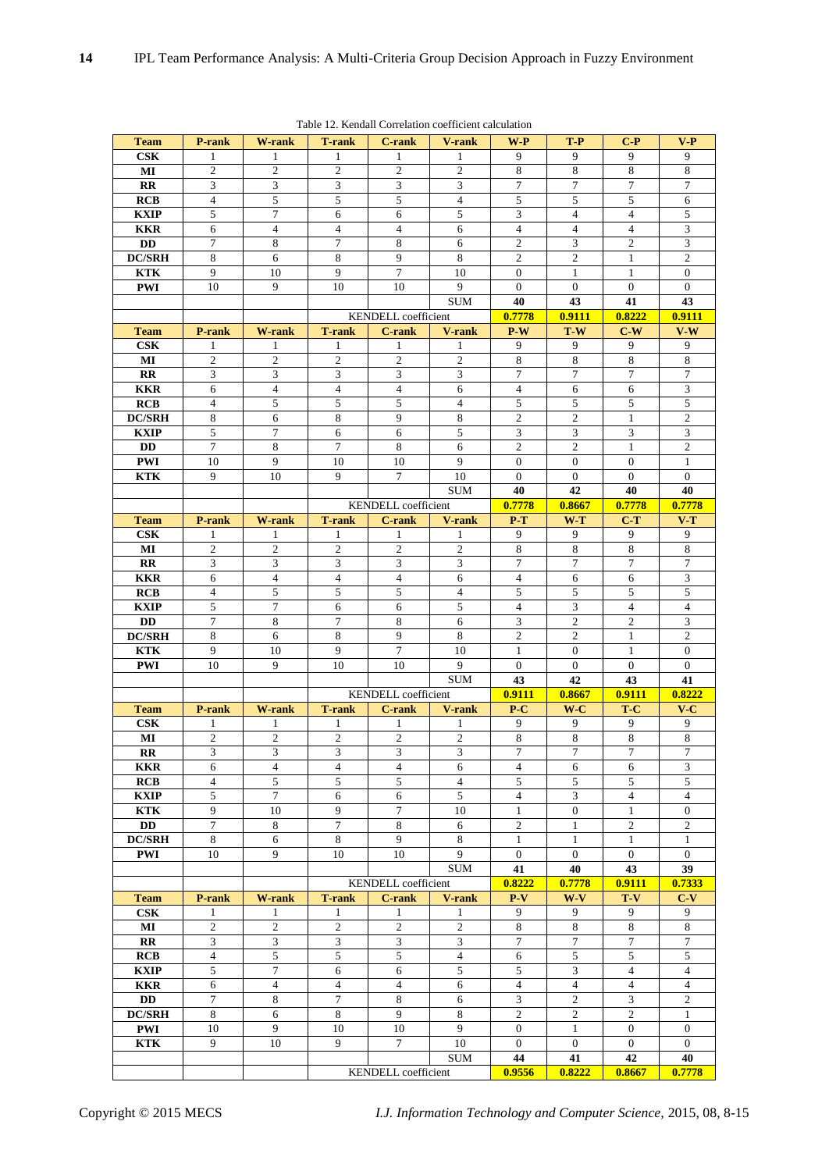|                        |                  |                  |                             |                            | Table 12. Rendall Correlation coefficient calculation |                                |                |                  |                         |
|------------------------|------------------|------------------|-----------------------------|----------------------------|-------------------------------------------------------|--------------------------------|----------------|------------------|-------------------------|
| <b>Team</b>            | P-rank           | W-rank           | <b>T-rank</b>               | <b>C-rank</b>              | <b>V-rank</b>                                         | $W$ - $P$                      | T-P            | $C-P$            | $V-P$                   |
| $\mathbf{CSK}$         | 1                | 1                | 1                           | 1                          | 1                                                     | 9                              | 9              | 9                | 9                       |
| MI                     | 2                | $\overline{c}$   | $\overline{2}$              | $\mathfrak{2}$             | $\overline{2}$                                        | $\,8\,$                        | 8              | 8                | 8                       |
| $_{\rm RR}$            | 3                | 3                | 3                           | 3                          | 3                                                     | 7                              | 7              | 7                | 7                       |
| <b>RCB</b>             | $\overline{4}$   | 5                | 5                           | 5                          | $\overline{4}$                                        | 5                              | 5              | 5                | 6                       |
| <b>KXIP</b>            | 5                | $\overline{7}$   | 6                           | 6                          | 5                                                     | 3                              | $\overline{4}$ | $\overline{4}$   | 5                       |
| <b>KKR</b>             | 6                | $\overline{4}$   | $\overline{4}$              | $\overline{4}$             | 6                                                     | $\overline{4}$                 | $\overline{4}$ | $\overline{4}$   | 3                       |
| <b>DD</b>              | 7                | 8                | 7                           | 8                          | 6                                                     | $\mathfrak{2}$                 | 3              | $\overline{c}$   | 3                       |
| <b>DC/SRH</b>          | 8                | 6                | 8                           | 9                          | 8                                                     | $\overline{c}$                 | 2              | $\mathbf{1}$     | 2                       |
| <b>KTK</b>             | 9                | 10               | 9                           | $\tau$                     | 10                                                    | $\overline{0}$                 | $\mathbf{1}$   | $\mathbf{1}$     | $\overline{0}$          |
| <b>PWI</b>             |                  | 9                | 10                          |                            | 9                                                     | $\mathbf{0}$                   | $\overline{0}$ | $\mathbf{0}$     |                         |
|                        | 10               |                  |                             | 10                         |                                                       |                                |                |                  | $\overline{0}$          |
|                        |                  |                  |                             |                            | SUM                                                   | 40                             | 43             | 41               | 43                      |
|                        |                  |                  |                             | <b>KENDELL</b> coefficient |                                                       | 0.7778                         | 0.9111         | 0.8222           | 0.9111                  |
| <b>Team</b>            | P-rank           | W-rank           | <b>T-rank</b>               | <b>C-rank</b>              | V-rank                                                | $P-W$                          | T-W            | $C-W$            | V-W                     |
| $\bf CSK$              | 1                | 1                | 1                           | 1                          | 1                                                     | 9                              | 9              | 9                | 9                       |
| MI                     | 2                | 2                | 2                           | 2                          | 2                                                     | 8                              | 8              | 8                | 8                       |
| $_{\rm RR}$            | 3                | 3                | 3                           | 3                          | 3                                                     | $\tau$                         | $\overline{7}$ | $\tau$           | $\tau$                  |
| <b>KKR</b>             | 6                | $\overline{4}$   | $\overline{4}$              | $\overline{4}$             | 6                                                     | $\overline{4}$                 | 6              | 6                | $\overline{\mathbf{3}}$ |
| <b>RCB</b>             | $\overline{4}$   | 5                | 5                           | 5                          | $\overline{4}$                                        | 5                              | 5              | 5                | 5                       |
| <b>DC/SRH</b>          | $\,8\,$          | 6                | 8                           | 9                          | 8                                                     | $\sqrt{2}$                     | $\mathfrak{2}$ | 1                | $\sqrt{2}$              |
| <b>KXIP</b>            | 5                | $\tau$           | 6                           | 6                          | 5                                                     | 3                              | $\mathfrak{Z}$ | 3                | $\mathfrak{Z}$          |
| DD                     | $\boldsymbol{7}$ | 8                | $\boldsymbol{7}$            | 8                          | 6                                                     | $\overline{c}$                 | $\overline{2}$ | $\mathbf{1}$     | $\overline{c}$          |
| <b>PWI</b>             | 10               | 9                | 10                          | 10                         | 9                                                     | $\mathbf{0}$                   | $\mathbf{0}$   | $\overline{0}$   | $\mathbf{1}$            |
| <b>KTK</b>             | 9                | 10               | 9                           | $\overline{7}$             | 10                                                    | $\overline{0}$                 | $\overline{0}$ | $\mathbf{0}$     | $\overline{0}$          |
|                        |                  |                  |                             |                            | <b>SUM</b>                                            | 40                             | 42             | 40               | 40                      |
|                        |                  |                  |                             | KENDELL coefficient        |                                                       | 0.7778                         | 0.8667         | 0.7778           | 0.7778                  |
|                        |                  |                  |                             |                            |                                                       |                                |                |                  |                         |
| <b>Team</b>            | P-rank           | W-rank           | <b>T-rank</b>               | <b>C-rank</b>              | V-rank                                                | P-T                            | $W-T$          | $C-T$            | $V-T$                   |
| CSK                    | 1                | 1                | 1                           | 1                          | 1                                                     | 9                              | 9              | 9                | 9                       |
| MI                     | $\overline{2}$   | $\overline{c}$   | $\overline{c}$              | $\overline{2}$             | $\overline{2}$                                        | 8                              | 8              | 8                | 8                       |
| $_{\rm RR}$            | 3                | 3                | $\ensuremath{\mathfrak{Z}}$ | 3                          | 3                                                     | $\tau$                         | 7              | $\tau$           | 7                       |
| <b>KKR</b>             | 6                | $\overline{4}$   | 4                           | $\overline{4}$             | 6                                                     | $\overline{4}$                 | 6              | 6                | 3                       |
| <b>RCB</b>             | $\overline{4}$   | 5                | 5                           | 5                          | $\overline{4}$                                        | 5                              | 5              | 5                | 5                       |
| KXIP                   | 5                | $\overline{7}$   | 6                           | 6                          | 5                                                     | $\overline{4}$                 | 3              | $\overline{4}$   | $\overline{4}$          |
| <b>DD</b>              | $\tau$           | 8                | $\overline{7}$              | 8                          | 6                                                     | 3                              | $\overline{2}$ | $\overline{c}$   | 3                       |
| <b>DC/SRH</b>          | 8                | 6                | 8                           | 9                          | 8                                                     | $\mathfrak{2}$                 | $\mathfrak{2}$ | $\mathbf{1}$     | $\overline{c}$          |
| <b>KTK</b>             | 9                | 10               | 9                           | $\tau$                     | 10                                                    | $\mathbf{1}$                   | $\theta$       | $\mathbf{1}$     | $\overline{0}$          |
| <b>PWI</b>             | 10               | 9                | 10                          | 10                         | 9                                                     | $\overline{0}$                 | $\overline{0}$ | $\overline{0}$   | $\overline{0}$          |
|                        |                  |                  |                             |                            | <b>SUM</b>                                            | 43                             | 42             | 43               | 41                      |
|                        |                  |                  |                             | <b>KENDELL</b> coefficient |                                                       | 0.9111                         | 0.8667         | 0.9111           | 0.8222                  |
| <b>Team</b>            | P-rank           | W-rank           | T-rank                      | C-rank                     | V-rank                                                | $P-C$                          | $W-C$          | T-C              | $V-C$                   |
| $\bf CSK$              | 1                | 1                | 1                           | 1                          | 1                                                     | 9                              | 9              | 9                | 9                       |
| MI                     | 2                | $\overline{2}$   | 2                           | 2                          | $\overline{2}$                                        | 8                              | 8              | $8\,$            | 8                       |
| <b>RR</b>              | 3                | 3                | 3                           | 3                          | 3                                                     | 7                              | 7              | 7                | 7                       |
| <b>KKR</b>             | 6                | $\overline{4}$   | $\overline{4}$              | $\overline{4}$             | 6                                                     | $\overline{4}$                 | 6              | 6                | 3                       |
|                        | $\overline{4}$   | 5                | 5                           | 5                          | $\overline{4}$                                        |                                |                |                  | 5                       |
| <b>RCB</b>             |                  |                  |                             |                            |                                                       | 5                              | 5              | 5                |                         |
| <b>KXIP</b>            | 5                | $\tau$           | 6                           | 6                          | 5                                                     | $\overline{4}$                 | $\mathfrak{Z}$ | $\overline{4}$   | $\overline{4}$          |
| <b>KTK</b>             | 9                | 10               | 9                           | 7                          | 10                                                    | $\mathbf{1}$                   | $\overline{0}$ | $\mathbf{1}$     | 0                       |
| DD                     | $\tau$           | 8                | $\overline{7}$              | 8                          | 6                                                     | $\overline{c}$                 | 1              | $\overline{c}$   | 2                       |
| <b>DC/SRH</b>          | $\,8\,$          | 6                | $\overline{8}$              | 9                          | $\,8\,$                                               | $\mathbf{1}$                   | $\mathbf{1}$   | $\mathbf{1}$     | $\mathbf{1}$            |
| <b>PWI</b>             | 10               | 9                | 10                          | 10                         | 9                                                     | $\mathbf{0}$                   | $\overline{0}$ | $\mathbf{0}$     | $\overline{0}$          |
|                        |                  |                  |                             |                            | <b>SUM</b>                                            | 41                             | 40             | 43               | 39                      |
|                        |                  |                  |                             | <b>KENDELL</b> coefficient |                                                       | 0.8222                         | 0.7778         | 0.9111           | 0.7333                  |
| <b>Team</b>            | P-rank           | W-rank           | <b>T-rank</b>               | <b>C-rank</b>              | V-rank                                                | $\mathbf{P}\text{-}\mathbf{V}$ | WV             | $T-V$            | $C-V$                   |
| $\mathbf{CSK}$         | $\mathbf{1}$     | $\mathbf{1}$     | $\mathbf{1}$                | 1                          | $\mathbf{1}$                                          | 9                              | 9              | 9                | 9                       |
| MI                     | $\sqrt{2}$       | $\boldsymbol{2}$ | 2                           | $\boldsymbol{2}$           | $\sqrt{2}$                                            | $\,8\,$                        | $\,8\,$        | $\,8\,$          | $\,8\,$                 |
| $\mathbf{R}\mathbf{R}$ | $\overline{3}$   | $\overline{3}$   | $\overline{\mathbf{3}}$     | 3                          | $\mathfrak{Z}$                                        | $\overline{7}$                 | $\overline{7}$ | $\overline{7}$   | $\tau$                  |
| RCB                    | $\overline{4}$   | 5                | 5                           | 5                          | $\overline{4}$                                        | $\overline{6}$                 | $\overline{5}$ | $\overline{5}$   | 5                       |
| <b>KXIP</b>            | 5                | 7                | 6                           | 6                          | 5                                                     | $\sqrt{5}$                     | 3              | $\overline{4}$   | $\overline{4}$          |
| <b>KKR</b>             | 6                | $\overline{4}$   | $\overline{4}$              | $\overline{4}$             | 6                                                     | $\overline{4}$                 | $\overline{4}$ | $\overline{4}$   | $\overline{4}$          |
| DD                     | $\tau$           | 8                | $\tau$                      | 8                          | 6                                                     | 3                              | $\overline{c}$ | 3                | $\overline{c}$          |
|                        |                  |                  |                             | 9                          | 8                                                     | 2                              | 2              | 2                | $\mathbf{1}$            |
|                        |                  |                  |                             |                            |                                                       |                                |                |                  |                         |
| <b>DC/SRH</b>          | 8                | 6                | $\,8\,$                     |                            |                                                       |                                |                |                  |                         |
| <b>PWI</b>             | 10               | 9                | 10                          | 10                         | 9                                                     | $\overline{0}$                 | $\mathbf{1}$   | $\overline{0}$   | $\overline{0}$          |
| <b>KTK</b>             | 9                | 10               | 9                           | 7                          | 10                                                    | $\boldsymbol{0}$               | $\overline{0}$ | $\boldsymbol{0}$ | $\overline{0}$          |
|                        |                  |                  |                             | KENDELL coefficient        | <b>SUM</b>                                            | 44<br>0.9556                   | 41<br>0.8222   | 42<br>0.8667     | 40<br>0.7778            |

|  |  | Table 12. Kendall Correlation coefficient calculation |  |  |
|--|--|-------------------------------------------------------|--|--|
|--|--|-------------------------------------------------------|--|--|